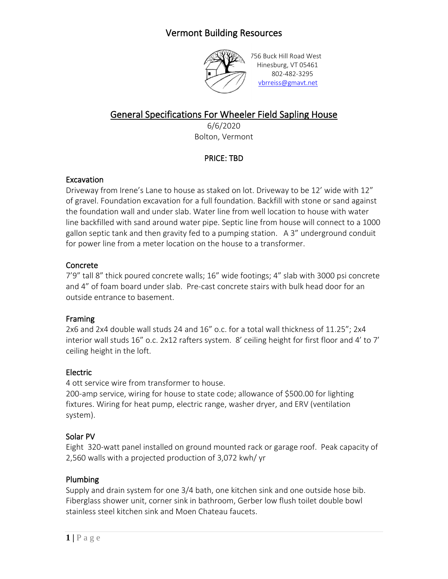# Vermont Building Resources



756 Buck Hill Road West Hinesburg, VT 05461 802-482-3295 [vbrreiss@gmavt.net](mailto:vbrreiss@gmavt.net)

# General Specifications For Wheeler Field Sapling House

6/6/2020 Bolton, Vermont

# PRICE: TBD

#### **Excavation**

Driveway from Irene's Lane to house as staked on lot. Driveway to be 12' wide with 12" of gravel. Foundation excavation for a full foundation. Backfill with stone or sand against the foundation wall and under slab. Water line from well location to house with water line backfilled with sand around water pipe. Septic line from house will connect to a 1000 gallon septic tank and then gravity fed to a pumping station. A 3" underground conduit for power line from a meter location on the house to a transformer.

#### Concrete

7'9" tall 8" thick poured concrete walls; 16" wide footings; 4" slab with 3000 psi concrete and 4" of foam board under slab. Pre-cast concrete stairs with bulk head door for an outside entrance to basement.

#### Framing

2x6 and 2x4 double wall studs 24 and 16" o.c. for a total wall thickness of 11.25"; 2x4 interior wall studs 16" o.c. 2x12 rafters system. 8' ceiling height for first floor and 4' to 7' ceiling height in the loft.

## Electric

4 ott service wire from transformer to house.

200-amp service, wiring for house to state code; allowance of \$500.00 for lighting fixtures. Wiring for heat pump, electric range, washer dryer, and ERV (ventilation system).

#### Solar PV

Eight 320-watt panel installed on ground mounted rack or garage roof. Peak capacity of 2,560 walls with a projected production of 3,072 kwh/ yr

## Plumbing

Supply and drain system for one 3/4 bath, one kitchen sink and one outside hose bib. Fiberglass shower unit, corner sink in bathroom, Gerber low flush toilet double bowl stainless steel kitchen sink and Moen Chateau faucets.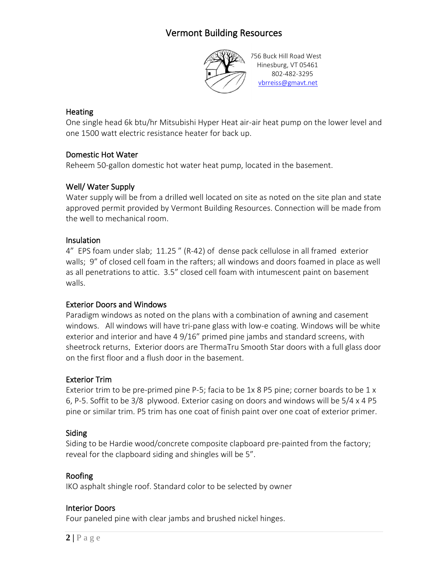# Vermont Building Resources



756 Buck Hill Road West Hinesburg, VT 05461 802-482-3295 [vbrreiss@gmavt.net](mailto:vbrreiss@gmavt.net)

#### **Heating**

One single head 6k btu/hr Mitsubishi Hyper Heat air-air heat pump on the lower level and one 1500 watt electric resistance heater for back up.

# Domestic Hot Water

Reheem 50-gallon domestic hot water heat pump, located in the basement.

# Well/ Water Supply

Water supply will be from a drilled well located on site as noted on the site plan and state approved permit provided by Vermont Building Resources. Connection will be made from the well to mechanical room.

## Insulation

4" EPS foam under slab; 11.25 " (R-42) of dense pack cellulose in all framed exterior walls; 9" of closed cell foam in the rafters; all windows and doors foamed in place as well as all penetrations to attic. 3.5" closed cell foam with intumescent paint on basement walls.

## Exterior Doors and Windows

Paradigm windows as noted on the plans with a combination of awning and casement windows. All windows will have tri-pane glass with low-e coating. Windows will be white exterior and interior and have 4 9/16" primed pine jambs and standard screens, with sheetrock returns. Exterior doors are ThermaTru Smooth Star doors with a full glass door on the first floor and a flush door in the basement.

## Exterior Trim

Exterior trim to be pre-primed pine P-5; facia to be 1x 8 P5 pine; corner boards to be 1 x 6, P-5. Soffit to be 3/8 plywood. Exterior casing on doors and windows will be 5/4 x 4 P5 pine or similar trim. P5 trim has one coat of finish paint over one coat of exterior primer.

## Siding

Siding to be Hardie wood/concrete composite clapboard pre-painted from the factory; reveal for the clapboard siding and shingles will be 5".

## Roofing

IKO asphalt shingle roof. Standard color to be selected by owner

## Interior Doors

Four paneled pine with clear jambs and brushed nickel hinges.